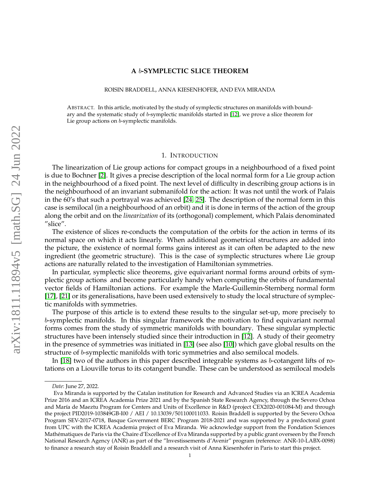### **A** b**-SYMPLECTIC SLICE THEOREM**

ROISIN BRADDELL, ANNA KIESENHOFER, AND EVA MIRANDA

ABSTRACT. In this article, motivated by the study of symplectic structures on manifolds with boundary and the systematic study of b-symplectic manifolds started in [\[12\]](#page-17-0), we prove a slice theorem for Lie group actions on b-symplectic manifolds.

#### 1. INTRODUCTION

The linearization of Lie group actions for compact groups in a neighbourhood of a fixed point is due to Bochner [\[2\]](#page-16-0). It gives a precise description of the local normal form for a Lie group action in the neighbourhood of a fixed point. The next level of difficulty in describing group actions is in the neighbourhood of an invariant submanifold for the action: It was not until the work of Palais in the 60's that such a portrayal was achieved [\[24,](#page-17-1) [25\]](#page-17-2). The description of the normal form in this case is semilocal (in a neighbourhood of an orbit) and it is done in terms of the action of the group along the orbit and on the *linearization* of its (orthogonal) complement, which Palais denominated "slice".

The existence of slices re-conducts the computation of the orbits for the action in terms of its normal space on which it acts linearly. When additional geometrical structures are added into the picture, the existence of normal forms gains interest as it can often be adapted to the new ingredient (the geometric structure). This is the case of symplectic structures where Lie group actions are naturally related to the investigation of Hamiltonian symmetries.

In particular, symplectic slice theorems, give equivariant normal forms around orbits of symplectic group actions and become particularly handy when computing the orbits of fundamental vector fields of Hamiltonian actions. For example the Marle-Guillemin-Sternberg normal form [\[17\]](#page-17-3), [\[21\]](#page-17-4) or its generalisations, have been used extensively to study the local structure of symplectic manifolds with symmetries.

The purpose of this article is to extend these results to the singular set-up, more precisely to b-symplectic manifolds. In this singular framework the motivation to find equivariant normal forms comes from the study of symmetric manifolds with boundary. These singular symplectic structures have been intensely studied since their introduction in [\[12\]](#page-17-0). A study of their geometry in the presence of symmetries was initiated in [\[13\]](#page-17-5) (see also [\[10\]](#page-17-6)) which gave global results on the structure of b-symplectic manifolds with toric symmetries and also semilocal models.

In [\[18\]](#page-17-7) two of the authors in this paper described integrable systems as b-cotangent lifts of rotations on a Liouville torus to its cotangent bundle. These can be understood as semilocal models

*Date*: June 27, 2022.

Eva Miranda is supported by the Catalan institution for Research and Advanced Studies via an ICREA Academia Prize 2016 and an ICREA Academia Prize 2021 and by the Spanish State Research Agency, through the Severo Ochoa and María de Maeztu Program for Centers and Units of Excellence in R&D (project CEX2020-001084-M) and through the project PID2019-103849GB-I00 / AEI / 10.13039/501100011033. Roisin Braddell is supported by the Severo Ochoa Program SEV-2017-0718, Basque Government BERC Program 2018-2021 and was supported by a predoctoral grant from UPC with the ICREA Academia project of Eva Miranda. We acknowledge support from the Fondation Sciences Mathématiques de Paris via the Chaire d'Excellence of Eva Miranda supported by a public grant overseen by the French National Research Agency (ANR) as part of the "Investissements d'Avenir" program (reference: ANR-10-LABX-0098) to finance a research stay of Roisin Braddell and a research visit of Anna Kiesenhofer in Paris to start this project.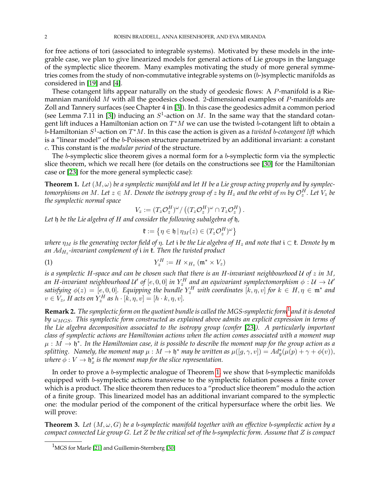for free actions of tori (associated to integrable systems). Motivated by these models in the integrable case, we plan to give linearized models for general actions of Lie groups in the language of the symplectic slice theorem. Many examples motivating the study of more general symmetries comes from the study of non-commutative integrable systems on  $(b)$ -)symplectic manifolds as considered in [\[19\]](#page-17-8) and [\[4\]](#page-16-1).

These cotangent lifts appear naturally on the study of geodesic flows: A P-manifold is a Riemannian manifold  $M$  with all the geodesics closed. 2-dimensional examples of  $P$ -manifolds are Zoll and Tannery surfaces (see Chapter 4 in [\[3\]](#page-16-2)). In this case the geodesics admit a common period (see Lemma 7.11 in [\[3\]](#page-16-2)) inducing an  $S^1$ -action on M. In the same way that the standard cotangent lift induces a Hamiltonian action on  $T^*M$  we can use the twisted  $b$ -cotangent lift to obtain a  $b$ -Hamiltonian  $S^1$ -action on  $T^*M$ . In this case the action is given as a *twisted* b-cotangent lift which is a "linear model" of the b-Poisson structure parametrized by an additional invariant: a constant c. This constant is the *modular period* of the structure.

The b-symplectic slice theorem gives a normal form for a b-symplectic form via the symplectic slice theorem, which we recall here (for details on the constructions see [\[30\]](#page-17-9) for the Hamiltonian case or [\[23\]](#page-17-10) for the more general symplectic case):

<span id="page-1-1"></span>**Theorem 1.** Let  $(M, \omega)$  be a symplectic manifold and let H be a Lie group acting properly and by symplectomorphisms on  $M.$  Let  $z \in M.$  Denote the isotropy group of  $z$  by  $H_z$  and the orbit of  $m$  by  $\mathcal{O}_z^H.$  Let  $V_z$  be *the symplectic normal space*

$$
V_z := (T_z \mathcal{O}_z^H)^{\omega} / ((T_z \mathcal{O}_z^H)^{\omega} \cap T_z \mathcal{O}_z^H).
$$

*Let* h *be the Lie algebra of* H *and consider the following subalgebra of* h*,*

$$
\mathfrak{k}:=\left\{\eta\in\mathfrak{h}\,|\,\eta_M(z)\in(T_z\mathcal{O}_z^H)^\omega\right\}
$$

*where*  $\eta_M$  *is the generating vector field of*  $\eta$ *. Let i be the Lie algebra of*  $H_z$  *and note that*  $i \in \mathfrak{k}$ *. Denote by*  $\mathfrak{m}$ *an* AdH<sup>z</sup> *-invariant complement of* i *in* k*. Then the twisted product*

$$
(1) \t Y_z^H := H \times_{H_z} (\mathfrak{m}^* \times V_z)
$$

*is a symplectic* H*-space and can be chosen such that there is an* H*-invariant neighbourhood* U *of* z *in* M*,* an H-invariant neighbourhood U' of  $[e, 0, 0]$  in  $Y_z^H$  and an equivariant symplectomorphism  $\phi:\mathcal{U}\to\mathcal{U}'$ satisfying  $\phi(z) = [e, 0, 0]$ . Equipping the bundle  $Y_z^H$  with coordinates  $[k, \eta, v]$  for  $k \in H, \eta \in \mathfrak{m}^*$  and  $v \in V_z$ , H acts on  $Y_z^H$  as  $h \cdot [k, \eta, v] = [h \cdot k, \eta, v]$ .

<span id="page-1-3"></span>**Remark 2.** *The symplectic form on the quotient bundle is called the MGS-symplectic form*[1](#page-1-0) *and it is denoted by* ωMGS*. This symplectic form constructed as explained above admits an explicit expression in terms of the Lie algebra decomposition associated to the isotropy group (confer* [\[23\]](#page-17-10)*). A particularly important class of symplectic actions are Hamiltonian actions when the action comes associated with a moment map*  $\mu:M\to \mathfrak{h}^*.$  In the Hamiltonian case, it is possible to describe the moment map for the group action as a *splitting.* Namely, the moment map  $\mu : M \to \mathfrak{h}^*$  may be written as  $\mu([g,\gamma,v]) = Ad^*_g(\mu(p) + \gamma + \phi(v)),$ where  $\bar{\phi}:V\to \mathfrak{h}_x^*$  is the moment map for the slice representation.

In order to prove a b-symplectic analogue of Theorem [1,](#page-1-1) we show that b-symplectic manifolds equipped with b-symplectic actions transverse to the symplectic foliation possess a finite cover which is a product. The slice theorem then reduces to a "product slice theorem" modulo the action of a finite group. This linearized model has an additional invariant compared to the symplectic one: the modular period of the component of the critical hypersurface where the orbit lies. We will prove:

<span id="page-1-2"></span>**Theorem 3.** *Let* (M, ω, G) *be a* b*-symplectic manifold together with an effective* b*-symplectic action by a compact connected Lie group* G*. Let* Z *be the critical set of the* b*-symplectic form. Assume that* Z *is compact*

<span id="page-1-0"></span><sup>&</sup>lt;sup>1</sup>MGS for Marle [\[21\]](#page-17-4) and Guillemin-Sternberg [\[30\]](#page-17-9)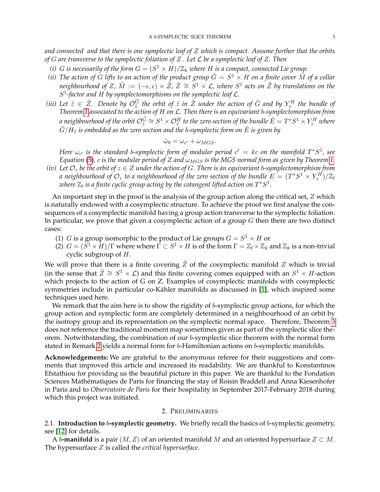*and connected and that there is one symplectic leaf of* Z *which is compact. Assume further that the orbits of* G *are transverse to the symplectic foliation of* Z *. Let* L *be a symplectic leaf of* Z*. Then*

- (*i*) *G* is necessarily of the form  $G = (S^1 \times H)/\mathbb{Z}_k$  where *H* is a compact, connected Lie group.
- *(ii)* The action of G lifts to an action of the product group  $\tilde{G} = S^1 \times H$  on a finite cover  $\tilde{M}$  of a collar neighbourhood of Z,  $\tilde M:=(-\epsilon,\epsilon)\times\tilde Z$ ,  $\tilde Z\cong\tilde S^1\times{\cal L}$ , where  $S^1$  acts on  $\tilde Z$  by translations on the S 1 *-factor and* H *by symplectomorphisms on the symplectic leaf* L*.*
- *(iii)* Let  $\tilde{z} \in \tilde{Z}$ . Denote by  $\mathcal{O}_{\tilde{z}}^{\tilde{G}}$  the orbit of  $\tilde{z}$  in  $\tilde{Z}$  under the action of  $\tilde{G}$  and by  $Y_z^H$  the bundle of *Theorem [1](#page-1-1) associated to the action of* H *on* L*. Then there is an equivariant* b*-symplectomorphism from* a neighbourhood of the orbit  $\mathcal{O}_{\tilde{z}}^{\tilde{G}}\cong S^1\times\mathcal{O}_{\tilde{z}}^H$  to the zero section of the bundle  $\tilde{E}=T^*S^1\times Y_z^H$  where  $\tilde{G}/H_{\tilde{z}}$  is embedded as the zero section and the b-symplectic form on  $\tilde{E}$  is given by

$$
\tilde{\omega}_0 = \omega_{c'} + \omega_{MGS}.
$$

Here  $\omega_{c'}$  is the standard b-symplectic form of modular period  $c' = kc$  on the manifold  $T^*S^1$ , see *Equation* [\(5\)](#page-5-0), c *is the modular period of* Z *and*  $\omega_{MGS}$  *is the MGS normal form as given by Theorem* [1.](#page-1-1)

*(iv)* Let  $\mathcal{O}_z$  be the orbit of  $z \in Z$  under the action of G. There is an equivariant b-symplectomorphism from *a neighbourhood of*  $\mathcal{O}_z$  *to a neighbourhood of the zero section of the bundle*  $E=(T^*S^1\times Y_z^H)/\mathbb{Z}_l$ where  $\mathbb{Z}_l$  is a finite cyclic group acting by the cotangent lifted action on  $T^*S^1.$ 

An important step in the proof is the analysis of the group action along the critical set, Z which is naturally endowed with a cosymplectic structure. To achieve the proof we first analyse the consequences of a cosymplectic manifold having a group action transverse to the symplectic foliation. In particular, we prove that given a cosymplectic action of a group  $G$  then there are two distinct cases:

- (1) *G* is a group isomorphic to the product of Lie groups  $G = S^1 \times H$  or
- (2)  $G = (\overline{S^1} \times \overline{H})/\Gamma$  where where  $\overline{\Gamma} \subset S^1 \times H$  is of the form  $\Gamma = \mathbb{Z}_l \times \mathbb{Z}_k$  and  $\mathbb{Z}_k$  is a non-trivial cyclic subgroup of H.

We will prove that there is a finite covering  $\tilde{Z}$  of the cosymplectic manifold Z which is trivial (in the sense that  $\tilde{Z} \cong S^1 \times \mathcal{L}$ ) and this finite covering comes equipped with an  $S^1 \times H$ -action which projects to the action of G on Z. Examples of cosymplectic manifolds with cosymplectic symmetries include in particular co-Kähler manifolds as discussed in [\[1\]](#page-16-3), which inspired some techniques used here.

We remark that the aim here is to show the rigidity of b-symplectic group actions, for which the group action and symplectic form are completely determined in a neighbourhood of an orbit by the isotropy group and its representation on the symplectic normal space. Therefore, Theorem [3](#page-1-2) does not reference the traditional moment map sometimes given as part of the symplectic slice theorem. Notwithstanding, the combination of our b-symplectic slice theorem with the normal form stated in Remark [2](#page-1-3) yields a normal form for b-Hamiltonian actions on b-symplectic manifolds.

**Acknowledgements:** We are grateful to the anonymous referee for their suggestions and comments that improved this article and increased its readability. We are thankful to Konstantinos Efstathiou for providing us the beautiful picture in this paper. We are thankful to the Fondation Sciences Mathématiques de Paris for financing the stay of Roisin Braddell and Anna Kiesenhofer in Paris and to *Observatoire de Paris* for their hospitality in September 2017-February 2018 during which this project was initiated.

### 2. PRELIMINARIES

2.1. **Introduction to** b**-symplectic geometry.** We briefly recall the basics of b-symplectic geometry, see [\[12\]](#page-17-0) for details.

A b-**manifold** is a pair  $(M, Z)$  of an oriented manifold M and an oriented hypersurface  $Z \subset M$ . The hypersurface Z is called the *critical hypersurface*.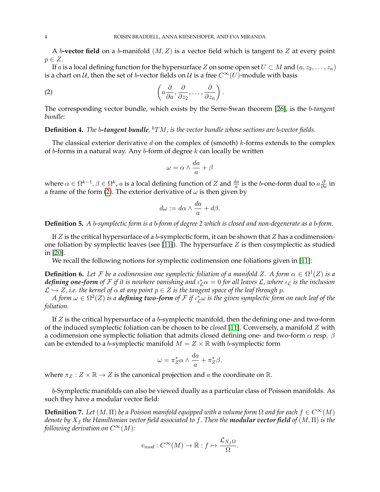A b-**vector field** on a b-manifold  $(M, Z)$  is a vector field which is tangent to Z at every point  $p \in Z$ .

If a is a local defining function for the hypersurface Z on some open set  $U \subset M$  and  $(a, z_2, \ldots, z_n)$ is a chart on U, then the set of b-vector fields on U is a free  $C^{\infty}(U)$ -module with basis

(2) 
$$
\left(a\frac{\partial}{\partial a}, \frac{\partial}{\partial z_2}, \dots, \frac{\partial}{\partial z_n}\right)
$$
.

The corresponding vector bundle, which exists by the Serre-Swan theorem [\[26\]](#page-17-11), is the b*-tangent bundle*:

**Definition 4.** The b-tangent bundle, <sup>b</sup>TM, is the vector bundle whose sections are b-vector fields.

The classical exterior derivative  $d$  on the complex of (smooth)  $k$ -forms extends to the complex of b-forms in a natural way. Any b-form of degree  $k$  can locally be written

<span id="page-3-0"></span>
$$
\omega = \alpha \wedge \frac{da}{a} + \beta
$$

where  $\alpha \in \Omega^{k-1}, \beta \in \Omega^k$ ,  $a$  is a local defining function of  $Z$  and  $\frac{da}{a}$  is the b-one-form dual to  $a\frac{\partial}{\partial a}$  in a frame of the form [\(2\)](#page-3-0). The exterior derivative of  $\omega$  is then given by

$$
d\omega := d\alpha \wedge \frac{da}{a} + d\beta.
$$

**Definition 5.** *A* b*-symplectic form is a* b*-form of degree 2 which is closed and non-degenerate as a* b*-form.*

If  $Z$  is the critical hypersurface of a b-symplectic form, it can be shown that  $Z$  has a codimension-one foliation by symplectic leaves (see [\[11\]](#page-17-12)). The hypersurface  $Z$  is then cosymplectic as studied in [\[20\]](#page-17-13).

We recall the following notions for symplectic codimension one foliations given in [\[11\]](#page-17-12):

**Definition 6.** Let F be a codimension one symplectic foliation of a manifold Z. A form  $\alpha \in \Omega^1(Z)$  is a  $d$  *efining one-form of*  ${\cal F}$  *if it is nowhere vanishing and*  $\iota_{\cal L}^*\alpha=0$  *for all leaves*  ${\cal L}$ *<i>, where*  $\iota_{\cal L}$  *is the inclusion*  $\mathcal{L} \hookrightarrow Z$ , *i.e. the kernel of*  $\alpha$  *at any point*  $p \in Z$  *is the tangent space of the leaf through* p.

A form  $\omega\in\Omega^2(Z)$  is a **defining two-form** of  ${\cal F}$  if  $\iota^\ast_{\cal L}\omega$  is the given symplectic form on each leaf of the *foliation.*

If  $Z$  is the critical hypersurface of a b-symplectic manifold, then the defining one- and two-form of the induced symplectic foliation can be chosen to be *closed* [\[11\]](#page-17-12). Conversely, a manifold Z with a codimension one symplectic foliation that admits closed defining one- and two-form  $\alpha$  resp.  $\beta$ can be extended to a *b*-symplectic manifold  $M = Z \times \mathbb{R}$  with *b*-symplectic form

$$
\omega = \pi_Z^* \alpha \wedge \frac{da}{a} + \pi_Z^* \beta.
$$

where  $\pi_Z : Z \times \mathbb{R} \to Z$  is the canonical projection and a the coordinate on  $\mathbb{R}$ .

b-Symplectic manifolds can also be viewed dually as a particular class of Poisson manifolds. As such they have a modular vector field:

**Definition 7.** *Let*  $(M, \Pi)$  *be a Poisson manifold equipped with a volume form*  $\Omega$  *and for each*  $f \in C^{\infty}(M)$ *denote by*  $X_f$  *the Hamiltonian vector field associated to f. Then the modular vector field of*  $(M, \Pi)$  *<i>is the following derivation on*  $C^{\infty}(M)$ *:* 

$$
v_{mod}: C^{\infty}(M) \to \mathbb{R}: f \mapsto \frac{\mathcal{L}_{X_f\Omega}}{\Omega}.
$$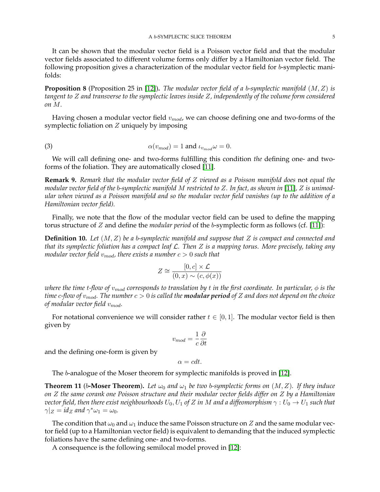It can be shown that the modular vector field is a Poisson vector field and that the modular vector fields associated to different volume forms only differ by a Hamiltonian vector field. The following proposition gives a characterization of the modular vector field for b-symplectic manifolds:

**Proposition 8** (Proposition 25 in [\[12\]](#page-17-0))**.** *The modular vector field of a* b*-symplectic manifold* (M, Z) *is tangent to* Z *and transverse to the symplectic leaves inside* Z*, independently of the volume form considered on* M*.*

Having chosen a modular vector field  $v_{mod}$ , we can choose defining one and two-forms of the symplectic foliation on Z uniquely by imposing

<span id="page-4-0"></span>(3) 
$$
\alpha(v_{mod}) = 1 \text{ and } \iota_{v_{mod}} \omega = 0.
$$

We will call defining one- and two-forms fulfilling this condition *the* defining one- and twoforms of the foliation. They are automatically closed [\[11\]](#page-17-12).

**Remark 9.** *Remark that the modular vector field of* Z *viewed as a Poisson manifold does* not *equal the modular vector field of the* b*-symplectic manifold* M *restricted to* Z*. In fact, as shown in* [\[11\]](#page-17-12)*,* Z *is unimodular when viewed as a Poisson manifold and so the modular vector field vanishes (up to the addition of a Hamiltonian vector field).*

Finally, we note that the flow of the modular vector field can be used to define the mapping torus structure of Z and define the *modular period* of the b-symplectic form as follows (cf. [\[11\]](#page-17-12)):

**Definition 10.** *Let* (M, Z) *be a* b*-symplectic manifold and suppose that* Z *is compact and connected and that its symplectic foliation has a compact leaf* L*. Then* Z *is a mapping torus. More precisely, taking any modular vector field*  $v_{mod}$ , there exists a number  $c > 0$  such that

$$
Z \cong \frac{[0, c] \times \mathcal{L}}{(0, x) \sim (c, \phi(x))}
$$

*where the time t-flow of*  $v_{mod}$  *corresponds to translation by t in the first coordinate. In particular,*  $\phi$  *is the time* c-flow of  $v_{mod}$ . The number  $c > 0$  is called the **modular period** of Z and does not depend on the choice *of modular vector field*  $v_{mod}$ *.* 

For notational convenience we will consider rather  $t \in [0,1]$ . The modular vector field is then given by

$$
v_{mod} = \frac{1}{c} \frac{\partial}{\partial t}
$$

and the defining one-form is given by

$$
\alpha = c dt.
$$

The b-analogue of the Moser theorem for symplectic manifolds is proved in [\[12\]](#page-17-0).

**Theorem 11** (b-Moser Theorem). Let  $\omega_0$  and  $\omega_1$  be two b-symplectic forms on  $(M, Z)$ . If they induce *on* Z *the same corank one Poisson structure and their modular vector fields differ on* Z *by a Hamiltonian vector field, then there exist neighbourhoods*  $U_0, U_1$  *of* Z *in* M *and a diffeomorphism*  $\gamma : U_0 \to U_1$  *such that*  $\gamma|_Z = id_Z$  and  $\gamma^* \omega_1 = \omega_0$ .

The condition that  $\omega_0$  and  $\omega_1$  induce the same Poisson structure on Z and the same modular vector field (up to a Hamiltonian vector field) is equivalent to demanding that the induced symplectic foliations have the same defining one- and two-forms.

A consequence is the following semilocal model proved in [\[12\]](#page-17-0):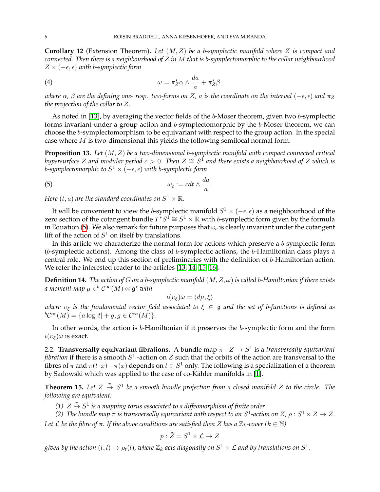<span id="page-5-3"></span>**Corollary 12** (Extension Theorem)**.** *Let* (M, Z) *be a* b*-symplectic manifold where* Z *is compact and connected. Then there is a neighbourhood of* Z *in* M *that is* b*-symplectomorphic to the collar neighbourhood*  $Z \times (-\epsilon, \epsilon)$  *with b-symplectic form* 

<span id="page-5-1"></span>(4) 
$$
\omega = \pi_Z^* \alpha \wedge \frac{da}{a} + \pi_Z^* \beta.
$$

*where*  $\alpha$ ,  $\beta$  *are the defining one-resp. two-forms on* Z,  $\alpha$  *is the coordinate on the interval* ( $-\epsilon$ ,  $\epsilon$ ) *and*  $\pi$ <sub>Z</sub> *the projection of the collar to* Z*.*

As noted in [\[13\]](#page-17-5), by averaging the vector fields of the b-Moser theorem, given two b-symplectic forms invariant under a group action and b-symplectomorphic by the b-Moser theorem, we can choose the b-symplectomorphism to be equivariant with respect to the group action. In the special case where  $M$  is two-dimensional this yields the following semilocal normal form:

**Proposition 13.** *Let* (M, Z) *be a two-dimensional* b*-symplectic manifold with compact connected critical hypersurface Z and modular period*  $c > 0$ *. Then*  $Z \cong S^1$  *and there exists a neighbourhood of Z which is b-symplectomorphic to*  $S^1 \times (-\epsilon, \epsilon)$  *with b-symplectic form* 

<span id="page-5-0"></span>.

$$
\omega_c := c dt \wedge \frac{da}{a}
$$

Here  $(t,a)$  are the standard coordinates on  $S^1\times\mathbb{R}.$ 

It will be convenient to view the b-symplectic manifold  $S^1 \times (-\epsilon, \epsilon)$  as a neighbourhood of the zero section of the cotangent bundle  $T^*S^1 \cong S^1 \times \mathbb{R}$  with b-symplectic form given by the formula in Equation [\(5\)](#page-5-0). We also remark for future purposes that  $\omega_c$  is clearly invariant under the cotangent lift of the action of  $S^1$  on itself by translations.

In this article we characterize the normal form for actions which preserve a b-symplectic form  $(b\text{-symplectic actions})$ . Among the class of  $b\text{-symplectic actions}$ , the  $b\text{-Hamiltonian class plays a}$ central role. We end up this section of preliminaries with the definition of b-Hamiltonian action. We refer the interested reader to the articles [\[13,](#page-17-5) [14,](#page-17-14) [15,](#page-17-15) [16\]](#page-17-16).

**Definition 14.** *The action of G on a b-symplectic manifold*  $(M, Z, \omega)$  *is called b-Hamiltonian if there exists* a moment map  $\mu \in^b \mathcal{C}^\infty(M) \otimes \mathfrak{g}^*$  with

$$
\iota(\upsilon_{\xi})\omega=\langle d\mu, \xi \rangle
$$

*where*  $v_{\xi}$  *is the fundamental vector field associated to*  $\xi \in \mathfrak{g}$  *and the set of b-functions is defined as*  ${}^bC^{\infty}(M) = \{a \log |t| + g, g \in C^{\infty}(M)\}.$ 

In other words, the action is b-Hamiltonian if it preserves the b-symplectic form and the form  $\iota(v_{\xi})\omega$  is exact.

2.2. **Transversally equivariant fibrations.** A bundle map  $\pi: Z \to S^1$  is a transversally equivariant *fibration* if there is a smooth  $S^1$  -action on  $Z$  such that the orbits of the action are transversal to the fibres of  $\pi$  and  $\pi(t \cdot x) - \pi(x)$  depends on  $t \in S^1$  only. The following is a specialization of a theorem by Sadowski which was applied to the case of co-Kähler manifolds in [\[1\]](#page-16-3).

<span id="page-5-2"></span>**Theorem 15.** Let  $Z \stackrel{\pi}{\rightarrow} S^1$  be a smooth bundle projection from a closed manifold  $Z$  to the circle. The *following are equivalent:*

(1)  $Z\stackrel{\pi}{\rightarrow} S^1$  is a mapping torus associated to a diffeomorphism of finite order

*(2)* The bundle map  $\pi$  is transversally equivariant with respect to an  $S^1$ -action on Z,  $\rho: S^1 \times Z \to Z$ . *Let L be the fibre of*  $\pi$ *. If the above conditions are satisfied then Z has a*  $\mathbb{Z}_k$ -cover ( $k \in \mathbb{N}$ )

$$
p: \tilde{Z} = S^1 \times \mathcal{L} \to Z
$$

given by the action  $(t,l)\mapsto \rho_t(l)$ , where  $\mathbb{Z}_k$  acts diagonally on  $S^1\times \mathcal{L}$  and by translations on  $S^1.$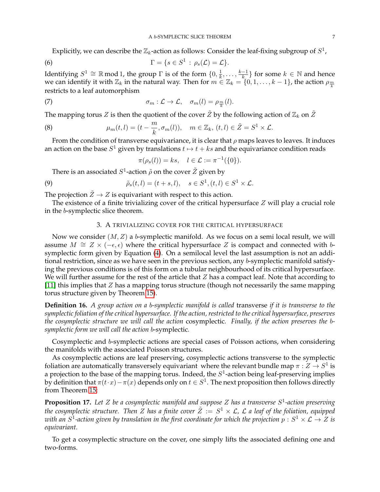Explicitly, we can describe the  $\mathbb{Z}_k$ -action as follows: Consider the leaf-fixing subgroup of  $S^1$ ,

(6) 
$$
\Gamma = \{s \in S^1 : \rho_s(\mathcal{L}) = \mathcal{L}\}.
$$

Identifying  $S^1 \cong \mathbb{R}$  mod 1, the group  $\Gamma$  is of the form  $\{0, \frac{1}{k}\}$  $\frac{1}{k}, \ldots, \frac{k-1}{k}$  $\frac{-1}{k}$ } for some  $k \in \mathbb{N}$  and hence we can identify it with  $\mathbb{Z}_k$  in the natural way. Then for  $m \in \mathbb{Z}_k = \{0, 1, \ldots, k-1\}$ , the action  $\rho_{\frac{m}{k}}$ restricts to a leaf automorphism

(7) 
$$
\sigma_m: \mathcal{L} \to \mathcal{L}, \quad \sigma_m(l) = \rho_{\frac{m}{k}}(l).
$$

The mapping torus  $Z$  is then the quotient of the cover  $\tilde{Z}$  by the following action of  $\mathbb{Z}_k$  on  $\tilde{Z}$ 

(8) 
$$
\mu_m(t,l)=(t-\frac{m}{k},\sigma_m(l)), \quad m\in\mathbb{Z}_k, (t,l)\in\tilde{Z}=S^1\times\mathcal{L}.
$$

From the condition of transverse equivariance, it is clear that  $\rho$  maps leaves to leaves. It induces an action on the base  $S^1$  given by translations  $t \mapsto t + ks$  and the equivariance condition reads

<span id="page-6-1"></span>
$$
\pi(\rho_s(l)) = ks, \quad l \in \mathcal{L} := \pi^{-1}(\{0\}).
$$

There is an associated  $S^1$ -action  $\tilde{\rho}$  on the cover  $\tilde{Z}$  given by

(9) 
$$
\tilde{\rho}_s(t,l)=(t+s,l), \quad s\in S^1, (t,l)\in S^1\times \mathcal{L}.
$$

The projection  $\ddot{Z} \rightarrow Z$  is equivariant with respect to this action.

The existence of a finite trivializing cover of the critical hypersurface Z will play a crucial role in the b-symplectic slice theorem.

## 3. A TRIVIALIZING COVER FOR THE CRITICAL HYPERSURFACE

Now we consider  $(M, Z)$  a b-symplectic manifold. As we focus on a semi local result, we will assume  $M \cong Z \times (-\epsilon, \epsilon)$  where the critical hypersurface Z is compact and connected with bsymplectic form given by Equation [\(4\)](#page-5-1). On a semilocal level the last assumption is not an additional restriction, since as we have seen in the previous section, any b-symplectic manifold satisfying the previous conditions is of this form on a tubular neighbourhood of its critical hypersurface. We will further assume for the rest of the article that  $Z$  has a compact leaf. Note that according to [\[11\]](#page-17-12) this implies that Z has a mapping torus structure (though not necessarily the same mapping torus structure given by Theorem [15\)](#page-5-2).

**Definition 16.** *A group action on a* b*-symplectic manifold is called* transverse *if it is transverse to the symplectic foliation of the critical hypersurface. If the action, restricted to the critical hypersurface, preserves the cosymplectic structure we will call the action* cosymplectic*. Finally, if the action preserves the* b*symplectic form we will call the action* b-symplectic*.*

Cosymplectic and b-symplectic actions are special cases of Poisson actions, when considering the manifolds with the associated Poisson structures.

As cosymplectic actions are leaf preserving, cosymplectic actions transverse to the symplectic foliation are automatically transversely equivariant where the relevant bundle map  $\pi: Z \to S^1$  is a projection to the base of the mapping torus. Indeed, the  $S^1$ -action being leaf-preserving implies by definition that  $\pi(t \cdot x) - \pi(x)$  depends only on  $t \in S^1$ . The next proposition then follows directly from Theorem [15:](#page-5-2)

<span id="page-6-0"></span>**Proposition 17.** *Let* Z *be a cosymplectic manifold and suppose* Z *has a transverse* S 1 *-action preserving* the cosymplectic structure. Then Z has a finite cover  $\tilde{Z}\,:=\,S^1\times\mathcal{L}$ ,  $\mathcal{L}$  a leaf of the foliation, equipped with an  $S^1$ -action given by translation in the first coordinate for which the projection  $p:S^1\times\mathcal{L}\to Z$  is *equivariant.*

To get a cosymplectic structure on the cover, one simply lifts the associated defining one and two-forms.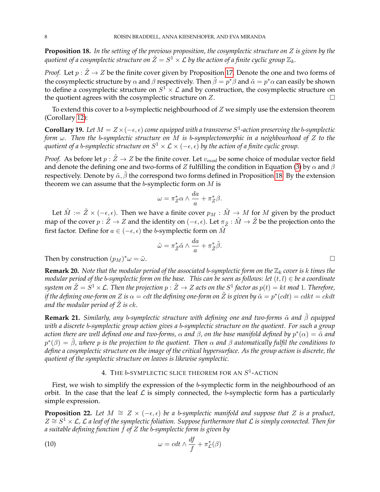<span id="page-7-0"></span>**Proposition 18.** *In the setting of the previous proposition, the cosymplectic structure on* Z *is given by the* quotient of a cosymplectic structure on  $\tilde{Z}=S^1\times {\cal L}$  by the action of a finite cyclic group  ${\mathbb Z}_k.$ 

*Proof.* Let  $p : \tilde{Z} \to Z$  be the finite cover given by Proposition [17.](#page-6-0) Denote the one and two forms of the cosymplectic structure by  $\alpha$  and  $\beta$  respectively. Then  $\tilde{\beta} = p^*\beta$  and  $\tilde{\alpha} = p^*\alpha$  can easily be shown to define a cosymplectic structure on  $S^1 \times \mathcal{L}$  and by construction, the cosymplectic structure on the quotient agrees with the cosymplectic structure on  $Z$ .

To extend this cover to a  $b$ -symplectic neighbourhood of  $Z$  we simply use the extension theorem (Corollary [12\)](#page-5-3):

<span id="page-7-2"></span>**Corollary 19.** Let  $M = Z \times (-\epsilon, \epsilon)$  come equipped with a transverse  $S^1$ -action preserving the b-symplectic *form* ω*. Then the* b*-symplectic structure on* M *is* b*-symplectomorphic in a neighbourhood of* Z *to the* quotient of a b-symplectic structure on  $S^1\times\mathcal{L}\times(-\epsilon,\epsilon)$  by the action of a finite cyclic group.

*Proof.* As before let  $p : \tilde{Z} \to Z$  be the finite cover. Let  $v_{mod}$  be some choice of modular vector field and denote the defining one and two-forms of Z fulfilling the condition in Equation [\(3\)](#page-4-0) by  $\alpha$  and  $\beta$ respectively. Denote by  $\tilde{\alpha}$ ,  $\tilde{\beta}$  the correspond two forms defined in Proposition [18.](#page-7-0) By the extension theorem we can assume that the  $b$ -symplectic form on  $M$  is

$$
\omega = \pi_Z^* \alpha \wedge \frac{da}{a} + \pi_Z^* \beta.
$$

Let  $\tilde{M} := \tilde{Z} \times (-\epsilon, \epsilon)$ . Then we have a finite cover  $p_M : \tilde{M} \to M$  for  $M$  given by the product map of the cover  $p : \tilde{Z} \to Z$  and the identity on  $(-\epsilon, \epsilon)$ . Let  $\pi_{\tilde{Z}} : \tilde{M} \to \tilde{Z}$  be the projection onto the first factor. Define for  $a \in (-\epsilon, \epsilon)$  the b-symplectic form on  $\tilde{M}$ 

$$
\tilde{\omega} = \pi_{\tilde{Z}}^* \tilde{\alpha} \wedge \frac{da}{a} + \pi_{\tilde{Z}}^* \tilde{\beta}.
$$

Then by construction  $(p_M)^*\omega = \tilde{\omega}$ .  $^*\omega = \tilde{\omega}.$ 

<span id="page-7-4"></span>**Remark 20.** *Note that the modular period of the associated b-symplectic form on the*  $\mathbb{Z}_k$  *cover is k times the modular period of the* b*-symplectic form on the base. This can be seen as follows: let* (t, l) ∈ *be a coordinate*  $s$ ystem on  $\tilde{Z}=S^1\times \mathcal{L}$ . Then the projection  $p:\tilde{Z}\to Z$  acts on the  $S^1$  factor as  $p(t)=kt$  mod 1. Therefore, if the defining one-form on Z is  $\alpha = c$ dt the defining one-form on  $\tilde Z$  is given by  $\tilde \alpha = p^*(cdt) = cdkt = ckdt$ *and the modular period of*  $\tilde{Z}$  *is ck.* 

<span id="page-7-1"></span>**Remark 21.** *Similarly, any b-symplectic structure with defining one and two-forms*  $\tilde{\alpha}$  *and*  $\tilde{\beta}$  *equipped with a discrete* b*-symplectic group action gives a* b*-symplectic structure on the quotient. For such a group* action there are well defined one and two-forms,  $\alpha$  and  $\beta$ , on the base manifold defined by  $p^*(\alpha)=\tilde{\alpha}$  and p ∗ (β) = β˜*, where* p *is the projection to the quotient. Then* α *and* β *automatically fulfil the conditions to define a cosymplectic structure on the image of the critical hypersurface. As the group action is discrete, the quotient of the symplectic structure on leaves is likewise symplectic.*

# 4. The b-symplectic slice theorem for an  $S^1$ -action

First, we wish to simplify the expression of the b-symplectic form in the neighbourhood of an orbit. In the case that the leaf  $\mathcal L$  is simply connected, the b-symplectic form has a particularly simple expression.

<span id="page-7-3"></span>**Proposition 22.** Let  $M \cong Z \times (-\epsilon, \epsilon)$  be a b-symplectic manifold and suppose that Z is a product, Z ∼= S <sup>1</sup> × L*,* L *a leaf of the symplectic foliation. Suppose furthermore that* L *is simply connected. Then for a suitable defining function* f *of* Z *the* b*-symplectic form is given by*

(10) 
$$
\omega = c dt \wedge \frac{df}{f} + \pi_{\mathcal{L}}^*(\beta)
$$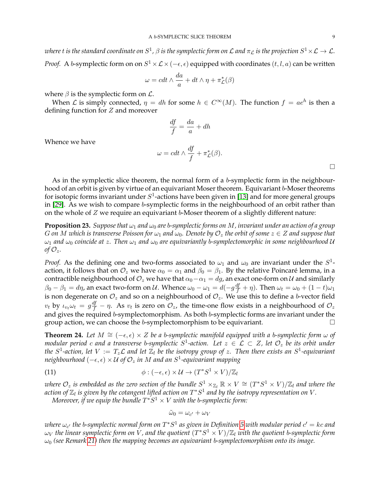$$
\omega = cdt \wedge \frac{da}{a} + dt \wedge \eta + \pi_{\mathcal{L}}^*(\beta)
$$

where  $\beta$  is the symplectic form on  $\mathcal{L}$ .

When  $\mathcal L$  is simply connected,  $\eta = dh$  for some  $h \in C^{\infty}(M)$ . The function  $f = ae^{h}$  is then a defining function for Z and moreover

$$
\frac{df}{f} = \frac{da}{a} + dh
$$

Whence we have

$$
\omega = c dt \wedge \frac{df}{f} + \pi_{\mathcal{L}}^*(\beta).
$$

 $\Box$ 

As in the symplectic slice theorem, the normal form of a b-symplectic form in the neighbourhood of an orbit is given by virtue of an equivariant Moser theorem. Equivariant b-Moser theorems for isotopic forms invariant under  $S^1$ -actions have been given in [\[13\]](#page-17-5) and for more general groups in [\[29\]](#page-17-17). As we wish to compare b-symplectic forms in the neighbourhood of an orbit rather than on the whole of  $Z$  we require an equivariant b-Moser theorem of a slightly different nature:

<span id="page-8-0"></span>**Proposition 23.** *Suppose that*  $\omega_1$  *and*  $\omega_0$  *are b-symplectic forms on M*, *invariant under an action of a group* G on M which is transverse Poisson for  $\omega_1$  and  $\omega_0$ . Denote by  $\mathcal{O}_z$  the orbit of some  $z \in Z$  and suppose that ω<sup>1</sup> *and* ω<sup>0</sup> *coincide at* z*. Then* ω<sup>1</sup> *and* ω<sup>0</sup> *are equivariantly* b*-symplectomorphic in some neighbourhood* U *of*  $\mathcal{O}_z$ *.* 

*Proof.* As the defining one and two-forms associated to  $\omega_1$  and  $\omega_0$  are invariant under the  $S^1$ action, it follows that on  $\mathcal{O}_z$  we have  $\alpha_0 = \alpha_1$  and  $\beta_0 = \beta_1$ . By the relative Poincaré lemma, in a contractible neighbourhood of  $\mathcal{O}_z$  we have that  $\alpha_0 - \alpha_1 = dg$ , an exact one-form on  $\mathcal U$  and similarly  $\beta_0-\beta_1=d\eta$ , an exact two-form on  $\cal U.$  Whence  $\omega_0-\omega_1=d(-g\frac{df}{f}+\eta).$  Then  $\omega_t=\omega_0+(1-t)\omega_1$ is non degenerate on  $\mathcal{O}_z$  and so on a neighbourhood of  $\mathcal{O}_z.$  We use this to define a b-vector field  $v_t$  by  $\iota_{v_t}\omega_t = g\frac{df}{f} - \eta$ . As  $v_t$  is zero on  $\mathcal{O}_z$ , the time-one flow exists in a neighbourhood of  $\mathcal{O}_z$ and gives the required b-symplectomorphism. As both b-symplectic forms are invariant under the group action, we can choose the b-symplectomorphism to be equivariant.  $\Box$ 

**Theorem 24.** Let  $M \cong (-\epsilon, \epsilon) \times Z$  be a b-symplectic manifold equipped with a b-symplectic form  $\omega$  of  $m$ odular period  $c$  and a transverse  $b$ -symplectic  $S^1$ -action. Let  $z\, \in\, \mathcal{L}\, \subset\, Z$ , let  $\mathcal{O}_z$  be its orbit under the  $S^1$ -action, let  $V := T_z \mathcal{L}$  and let  $\mathbb{Z}_l$  be the isotropy group of  $z$ . Then there exists an  $S^1$ -equivariant  $\mathit{neighbourhood}\ (-\epsilon, \epsilon) \times \mathcal{U}$  of  $\mathcal{O}_z$  in  $M$  and an  $S^1$ -equivariant mapping

(11) 
$$
\phi: (-\epsilon, \epsilon) \times \mathcal{U} \to (T^*S^1 \times V)/\mathbb{Z}_l
$$

where  $\mathcal{O}_z$  is embedded as the zero section of the bundle  $S^1_-\times_{\mathbb{Z}_l}\mathbb{R}\times V\cong (T^*S^1\times V)/\mathbb{Z}_l$  and where the action of  $\mathbb{Z}_l$  is given by the cotangent lifted action on  $T^*S^1$  and by the isotropy representation on  $V$  .

 $M$ oreover, if we equip the bundle  $T^*S^1 \times V$  with the b-symplectic form:

$$
\tilde{\omega}_0 = \omega_{c'} + \omega_V
$$

where  $\omega_{c'}$  the b-symplectic normal form on  $T^*S^1$  as given in Definition [5](#page-5-0) with modular period  $c' = kc$  and  $\omega_V$  the linear symplectic form on  $\dot{V}$  , and the quotient  $(T^*S^1 \times V)/\mathbb{Z}_l$  with the quotient b-symplectic form ω<sup>0</sup> *(see Remark [21\)](#page-7-1) then the mapping becomes an equivariant* b*-symplectomorphism onto its image.*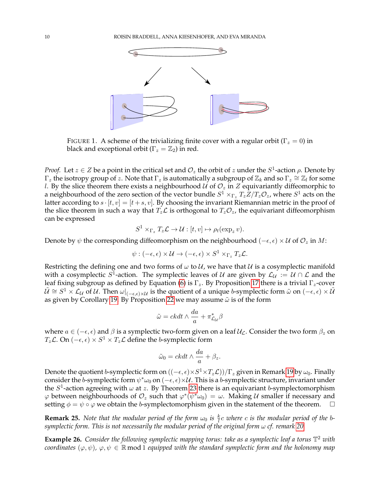

FIGURE 1. A scheme of the trivializing finite cover with a regular orbit ( $\Gamma_z = 0$ ) in black and exceptional orbit ( $\Gamma_z = \mathbb{Z}_2$ ) in red.

*Proof.* Let  $z \in Z$  be a point in the critical set and  $\mathcal{O}_z$  the orbit of  $z$  under the  $S^1$ -action  $\rho$ . Denote by  $\Gamma_z$  the isotropy group of z. Note that  $\Gamma_z$  is automatically a subgroup of  $\mathbb{Z}_k$  and so  $\Gamma_z\cong\mathbb{Z}_l$  for some *l*. By the slice theorem there exists a neighbourhood *U* of  $\mathcal{O}_z$  in *Z* equivariantly diffeomorphic to a neighbourhood of the zero section of the vector bundle  $S^1\times_{\Gamma_z}T_z\bar{Z}/T_z\mathcal{O}_z$ , where  $S^1$  acts on the latter according to  $s \cdot [t, v] = [t + s, v]$ . By choosing the invariant Riemannian metric in the proof of the slice theorem in such a way that  $T_z\mathcal{L}$  is orthogonal to  $T_z\mathcal{O}_z$ , the equivariant diffeomorphism can be expressed

$$
S^1 \times_{\Gamma_z} T_z \mathcal{L} \to \mathcal{U} : [t, v] \mapsto \rho_t(\exp_z v).
$$

Denote by  $\psi$  the corresponding diffeomorphism on the neighbourhood ( $-\epsilon, \epsilon$ ) × U of  $\mathcal{O}_z$  in M:

$$
\psi: (-\epsilon,\epsilon) \times \mathcal{U} \to (-\epsilon,\epsilon) \times S^1 \times_{\Gamma_z} T_z \mathcal{L}.
$$

Restricting the defining one and two forms of  $\omega$  to  $\mathcal{U}$ , we have that  $\mathcal{U}$  is a cosymplectic manifold with a cosymplectic  $S^1$ -action. The symplectic leaves of  $\cal U$  are given by  ${\cal L}_{\cal U} := {\cal U} \cap {\cal L}$  and the leaf fixing subgroup as defined by Equation [\(6\)](#page-6-1) is  $\Gamma_z$ . By Proposition [17](#page-6-0) there is a trivial  $\Gamma_z$ -cover  $\tilde{U}\cong S^1\times\mathcal{L}_\mathcal{U}$  of  $\mathcal{U}$ . Then  $\omega|_{(-\epsilon,\epsilon)\times\mathcal{U}}$  is the quotient of a unique b-symplectic form  $\tilde{\omega}$  on  $(-\epsilon,\epsilon)\times\tilde{\mathcal{U}}$ as given by Corollary [19.](#page-7-2) By Proposition [22](#page-7-3) we may assume  $\tilde{\omega}$  is of the form

$$
\tilde{\omega} = c k dt \wedge \frac{da}{a} + \pi_{\mathcal{L}_\mathcal{U}}^* \beta
$$

where  $a \in (-\epsilon, \epsilon)$  and  $\beta$  is a symplectic two-form given on a leaf  $\mathcal{U}_\mathcal{L}$ . Consider the two form  $\beta_z$  on  $T_z$ L. On  $(-\epsilon, \epsilon) \times S^1 \times T_z$ L define the b-symplectic form

$$
\tilde{\omega}_0 = c k dt \wedge \frac{da}{a} + \beta_z.
$$

Denote the quotient  $b$ -symplectic form on  $((-\epsilon,\epsilon)\times S^1\times T_z\mathcal{L}))/\Gamma_z$  given in Remark [19](#page-7-2) by  $\omega_0.$  Finally consider the b-symplectic form  $\psi^*\omega_0$  on  $(-\epsilon,\epsilon)\times\mathcal{U}$ . This is a b-symplectic structure, invariant under the  $S^1$ -action agreeing with  $\omega$  at z. By Theorem [23](#page-8-0) there is an equivariant b-symplectomorphism  $\varphi$  between neighbourhoods of  $\mathcal{O}_z$  such that  $\varphi^*(\psi^*\omega_0) = \omega$ . Making U smaller if necessary and setting  $\phi = \psi \circ \varphi$  we obtain the *b*-symplectomorphism given in the statement of the theorem.  $\Box$ 

**Remark 25.** *Note that the modular period of the form*  $\omega_0$  *is*  $\frac{k}{l}c$  *where c is the modular period of the bsymplectic form. This is not necessarily the modular period of the original form* ω *cf. remark [20.](#page-7-4)*

**Example 26.** *Consider the following symplectic mapping torus: take as a symplectic leaf a torus* T <sup>2</sup> *with coordinates*  $(\varphi, \psi)$ ,  $\varphi, \psi \in \mathbb{R}$  mod 1 *equipped with the standard symplectic form and the holonomy map*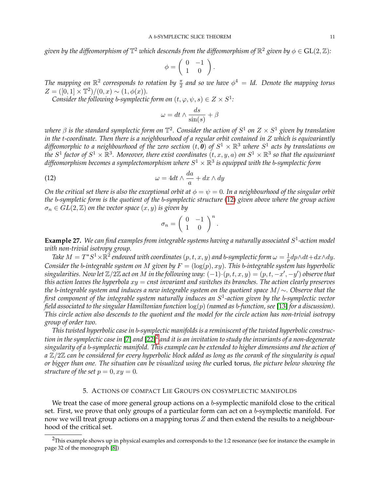given by the diffeomorphism of  $\mathbb{T}^2$  which descends from the diffeomorphism of  $\mathbb{R}^2$  given by  $\phi\in\mathrm{GL}(2,\mathbb{Z})$ :

$$
\phi = \left( \begin{array}{cc} 0 & -1 \\ 1 & 0 \end{array} \right).
$$

The mapping on  $\mathbb{R}^2$  corresponds to rotation by  $\frac{\pi}{2}$  and so we have  $\phi^4 = \text{Id}$ . Denote the mapping torus  $Z = ([0, 1] \times \mathbb{T}^2) / (0, x) \sim (1, \phi(x)).$ 

*Consider the following b-symplectic form on*  $(t, \varphi, \psi, s) \in Z \times S^1$ :

$$
\omega = dt \wedge \frac{ds}{\sin(s)} + \beta
$$

*where* β *is the standard symplectic form on* T 2 *. Consider the action of* S 1 *on* Z × S <sup>1</sup> *given by translation in the* t*-coordinate. Then there is a neighbourhood of a regular orbit contained in* Z *which is equivariantly* diffeomorphic to a neighbourhood of the zero section  $(t, \tilde{\bm{0}})$  of  $S^1 \times \mathbb{R}^3$  where  $S^1$  acts by translations on *the*  $S^1$  factor of  $S^1 \times \mathbb{R}^3$ . Moreover, there exist coordinates  $(t, x, y, a)$  on  $S^1 \times \mathbb{R}^3$  so that the equivariant diffeomorphism becomes a symplectomorphism where  $S^1 \times \mathbb{R}^3$  is equipped with the b-symplectic form

(12) 
$$
\omega = 4dt \wedge \frac{da}{a} + dx \wedge dy
$$

*On the critical set there is also the exceptional orbit at*  $\phi = \psi = 0$ *. In a neighbourhood of the singular orbit the* b*-sympletic form is the quotient of the* b*-symplectic structure* [\(12\)](#page-10-0) *given above where the group action*  $\sigma_n \in GL(2, \mathbb{Z})$  *on the vector space*  $(x, y)$  *is given by* 

<span id="page-10-0"></span>
$$
\sigma_n = \left(\begin{array}{cc} 0 & -1 \\ 1 & 0 \end{array}\right)^n.
$$

**Example 27.** *We can find examples from integrable systems having a naturally associated* S 1 *-action model with non-trivial isotropy group.*

*Take*  $M = T^*S^1 \times \mathbb{R}^2$  endowed with coordinates  $(p, t, x, y)$  and b-symplectic form  $\omega = \frac{1}{p}$  $\frac{1}{p}$ *dp*∧*dt*+*dx*∧*dy*. *Consider the b-integrable system on* M *given by*  $F = (\log(p), xy)$ . This b-integrable system has hyperbolic  $s$ *ingularities. Now let*  $\Z/2\Z$  *act on*  $M$  *in the following way:*  $(-1){\cdot}(p,t,x,y) = (p,t,-x',-y')$  *observe that this action leaves the hyperbola* xy = *cnst invariant and switches its branches. The action clearly preserves the* b*-integrable system and induces a new integrable system on the quotient space* M/∼*. Observe that the first component of the integrable system naturally induces an* S 1 *-action given by the* b*-symplectic vector field associated to the singular Hamiltonian function* log(p) *(named as* b*-function, see* [\[13\]](#page-17-5) *for a discussion). This circle action also descends to the quotient and the model for the circle action has non-trivial isotropy group of order two.*

*This twisted hyperbolic case in* b*-symplectic manifolds is a reminiscent of the twisted hyperbolic construc-*tion in the symplectic case in [\[7\]](#page-16-4) and [\[22\]](#page-17-18)<sup>[2](#page-10-1)</sup> and it is an invitation to study the invariants of a non-degenerate *singularity of a* b*-symplectic manifold. This example can be extended to higher dimensions and the action of a* Z/2Z *can be considered for every hyperbolic block added as long as the corank of the singularity is equal or bigger than one. The situation can be visualized using the* curled torus*, the picture below showing the structure of the set*  $p = 0, xy = 0$ *.* 

### 5. ACTIONS OF COMPACT LIE GROUPS ON COSYMPLECTIC MANIFOLDS

We treat the case of more general group actions on a b-symplectic manifold close to the critical set. First, we prove that only groups of a particular form can act on a b-symplectic manifold. For now we will treat group actions on a mapping torus Z and then extend the results to a neighbourhood of the critical set.

<span id="page-10-1"></span> $2$ This example shows up in physical examples and corresponds to the 1:2 resonance (see for instance the example in page 32 of the monograph [\[8\]](#page-16-5))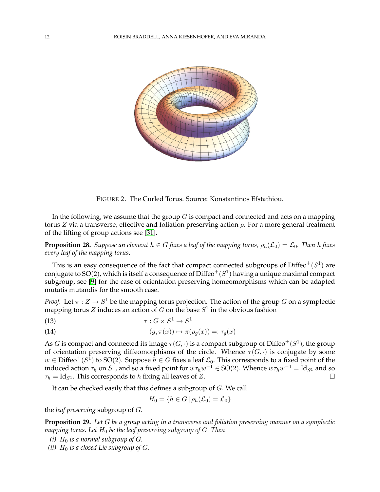

FIGURE 2. The Curled Torus. Source: Konstantinos Efstathiou.

In the following, we assume that the group  $G$  is compact and connected and acts on a mapping torus Z via a transverse, effective and foliation preserving action  $ρ$ . For a more general treatment of the lifting of group actions see [\[31\]](#page-17-19).

<span id="page-11-0"></span>**Proposition 28.** *Suppose an element*  $h \in G$  *fixes a leaf of the mapping torus,*  $\rho_h(\mathcal{L}_0) = \mathcal{L}_0$ *. Then* h *fixes every leaf of the mapping torus.*

This is an easy consequence of the fact that compact connected subgroups of Diffeo $^+(S^1)$  are conjugate to SO(2), which is itself a consequence of  $\text{Diffeo}^+(S^1)$  having a unique maximal compact subgroup, see [\[9\]](#page-16-6) for the case of orientation preserving homeomorphisms which can be adapted mutatis mutandis for the smooth case.

*Proof.* Let  $\pi: Z \to S^1$  be the mapping torus projection. The action of the group G on a symplectic mapping torus  $Z$  induces an action of  $G$  on the base  $S^1$  in the obvious fashion

$$
\tau: G \times S^1 \to S^1
$$

(14) 
$$
(g, \pi(x)) \mapsto \pi(\rho_g(x)) =: \tau_g(x)
$$

As  $G$  is compact and connected its image  $\tau(G,\cdot)$  is a compact subgroup of Diffeo $^+(S^1)$ , the group of orientation preserving diffeomorphisms of the circle. Whence  $\tau(G, \cdot)$  is conjugate by some  $w \in \mathrm{Diffeo}^+(S^{\bar{1}})$  to SO(2). Suppose  $h \in G$  fixes a leaf  $\mathcal{L}_0$ . This corresponds to a fixed point of the induced action  $\tau_h$  on  $S^1$ , and so a fixed point for  $w\tau_hw^{-1}\in\mathrm{SO}(2).$  Whence  $w\tau_hw^{-1}=\mathrm{Id}_{S^1}$  and so  $\tau_h = \text{Id}_{S^1}$ . This corresponds to h fixing all leaves of Z.

It can be checked easily that this defines a subgroup of G. We call

$$
H_0 = \{ h \in G \mid \rho_h(\mathcal{L}_0) = \mathcal{L}_0 \}
$$

the *leaf preserving* subgroup of G.

<span id="page-11-1"></span>**Proposition 29.** *Let* G *be a group acting in a transverse and foliation preserving manner on a symplectic mapping torus. Let* H<sup>0</sup> *be the leaf preserving subgroup of* G*. Then*

- *(i)*  $H_0$  *is a normal subgroup of G.*
- *(ii)*  $H_0$  *is a closed Lie subgroup of G.*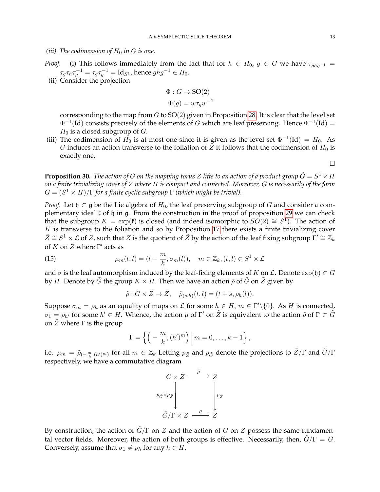## *(iii)* The codimension of  $H_0$  *in*  $G$  *is one.*

*Proof.* (i) This follows immediately from the fact that for  $h \in H_0$ ,  $g \in G$  we have  $\tau_{ghq^{-1}} =$  $\tau_g\tau_h\tau_g^{-1}=\tau_g\tau_g^{-1}=\mathrm{Id}_{S^1}$ , hence  $ghg^{-1}\in H_0$ .

(ii) Consider the projection

$$
\Phi: G \to \text{SO}(2)
$$

$$
\Phi(g) = w\tau_g w^{-1}
$$

corresponding to the map from  $G$  to  $SO(2)$  given in Proposition [28.](#page-11-0) It is clear that the level set  $\Phi^{-1}(\mathrm{Id})$  consists precisely of the elements of G which are leaf preserving. Hence  $\Phi^{-1}(\mathrm{Id}) =$  $H_0$  is a closed subgroup of G.

(iii) The codimension of  $H_0$  is at most one since it is given as the level set  $\Phi^{-1}(\text{Id}) = H_0$ . As G induces an action transverse to the foliation of Z it follows that the codimension of  $H_0$  is exactly one.

 $\Box$ 

<span id="page-12-1"></span>**Proposition 30.** *The action of G on the mapping torus Z lifts to an action of a product group*  $\tilde{G} = S^1 \times H$ *on a finite trivializing cover of* Z *where* H *is compact and connected. Moreover,* G *is necessarily of the form*  $G = (S^1 \times H)/\Gamma$  for a finite cyclic subgroup  $\Gamma$  *(which might be trivial).* 

*Proof.* Let  $\mathfrak{h} \subset \mathfrak{g}$  be the Lie algebra of  $H_0$ , the leaf preserving subgroup of G and consider a complementary ideal  $\ell$  of  $\eta$  in  $\mathfrak{g}$ . From the construction in the proof of proposition [29](#page-11-1) we can check that the subgroup  $K = \exp(\mathfrak{k})$  is closed (and indeed isomorphic to  $SO(2) \cong S^1$ ). The action of  $K$  is transverse to the foliation and so by Proposition [17](#page-6-0) there exists a finite trivializing cover  $\tilde{Z}\cong S^1\times {\cal L}$  of Z, such that Z is the quotient of  $\tilde{Z}$  by the action of the leaf fixing subgroup  $\Gamma'\cong {\Bbb Z}_k$ of K on  $\tilde{Z}$  where  $\Gamma'$  acts as

(15) 
$$
\mu_m(t,l) = (t - \frac{m}{k}, \sigma_m(l)), \quad m \in \mathbb{Z}_k, (t,l) \in S^1 \times \mathcal{L}
$$

and  $\sigma$  is the leaf automorphism induced by the leaf-fixing elements of K on  $\mathcal L$ . Denote  $\exp(\mathfrak h) \subset G$ by H. Denote by  $\tilde{G}$  the group  $K \times H$ . Then we have an action  $\tilde{\rho}$  of  $\tilde{G}$  on  $\tilde{Z}$  given by

<span id="page-12-0"></span>
$$
\tilde{\rho}: \tilde{G} \times \tilde{Z} \to \tilde{Z}, \quad \tilde{\rho}_{(s,h)}(t,l) = (t+s, \rho_h(l)).
$$

Suppose  $\sigma_m = \rho_h$  as an equality of maps on  $\mathcal L$  for some  $h \in H$ ,  $m \in \Gamma'\setminus\{0\}$ . As  $H$  is connected,  $\sigma_1 = \rho_{h'}$  for some  $h' \in H$ . Whence, the action  $\mu$  of  $\Gamma'$  on  $\tilde{Z}$  is equivalent to the action  $\tilde{\rho}$  of  $\Gamma \subset \tilde{G}$ on  $\overline{Z}$  where  $\Gamma$  is the group

$$
\Gamma = \left\{ \left( -\frac{m}{k}, (h')^m \right) \middle| m = 0, \ldots, k-1 \right\},\
$$

i.e.  $\mu_m=\tilde\rho_{(-\frac{m}{k},(h')^m)}$  for all  $m\in\mathbb{Z}_k$  Letting  $p_{\tilde Z}$  and  $p_{\tilde G}$  denote the projections to  $\tilde Z/\Gamma$  and  $\tilde G/\Gamma$ respectively, we have a commutative diagram



By construction, the action of  $\tilde{G}/\Gamma$  on Z and the action of G on Z possess the same fundamental vector fields. Moreover, the action of both groups is effective. Necessarily, then,  $\tilde{G}/\Gamma = G$ . Conversely, assume that  $\sigma_1 \neq \rho_h$  for any  $h \in H$ .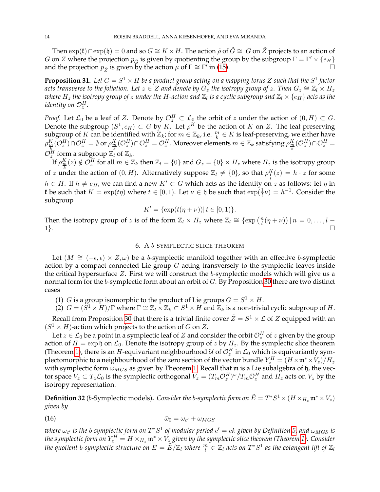Then  $\exp(\mathfrak{k}) \cap \exp(\mathfrak{h}) = 0$  and so  $G \cong K \times H$ . The action  $\tilde{\rho}$  of  $\tilde{G} \cong G$  on  $\tilde{Z}$  projects to an action of G on Z where the projection  $p_{\tilde{G}}$  is given by quotienting the group by the subgroup  $\Gamma = \Gamma' \times \{e_H\}$ and the projection  $p_{\tilde{Z}}$  is given by the action  $\mu$  of  $\Gamma \cong \Gamma'$  in [\(15\)](#page-12-0).

<span id="page-13-2"></span>**Proposition 31.** Let  $G = S^1 \times H$  be a product group acting on a mapping torus Z such that the  $S^1$  factor  $a$ cts transverse to the foliation. Let  $z\in Z$  and denote by  $G_z$  the isotropy group of  $z.$  Then  $G_z\cong \mathbb{Z}_l\times H_z$ where  $H_z$  the isotropy group of  $z$  under the H-action and  $\Z_l$  is a cyclic subgroup and  $\Z_l\times\{e_H\}$  acts as the identity on  $\mathcal{O}_z^H$ .

*Proof.* Let  $\mathcal{L}_0$  be a leaf of Z. Denote by  $\mathcal{O}_z^H \subset \mathcal{L}_0$  the orbit of  $z$  under the action of  $(0,H) \subset G$ . Denote the subgroup  $(S^1, e_H) \subset G$  by K. Let  $\rho^K$  be the action of K on Z. The leaf preserving subgroup of K can be identified with  $\mathbb{Z}_k$ ; for  $m \in \mathbb{Z}_k$ , i.e.  $\frac{m}{k} \in K$  is leaf-preserving, we either have  $\rho^K_{\frac{m}{k}}(\mathcal{O}_z^H)\cap \mathcal{O}_z^H=\emptyset$  or  $\rho^K_{\frac{m}{k}}(\mathcal{O}_z^H)\cap \mathcal{O}_z^H=\mathcal{O}_z^H$ . Moreover elements  $m\in\mathbb{Z}_k$  satisfying  $\rho^K_{\frac{m}{k}}(\mathcal{O}_z^H)\cap \mathcal{O}_z^H=$  $\mathcal{O}_z^H$  form a subgroup  $\mathbb{Z}_l$  of  $\mathbb{Z}_k$ .

If  $\rho_{\frac{m}{k}}^{K}(z) \notin \mathcal{O}_{z}^{H}$  for all  $m \in \mathbb{Z}_{k}$  then  $\mathbb{Z}_{l} = \{0\}$  and  $G_{z} = \{0\} \times H_{z}$  where  $H_{z}$  is the isotropy group of z under the action of  $(0, H)$ . Alternatively suppose  $\mathbb{Z}_l \neq \{0\}$ , so that  $\rho_1^K(z) = h \cdot z$  for some  $h\in H.$  If  $h\neq e_H$ , we can find a new  $K'\subset G$  which acts as the identity on z as follows: let  $\eta$  in **t** be such that  $K = \exp(t\eta)$  where  $t \in [0, 1)$ . Let  $\nu \in \mathfrak{h}$  be such that  $\exp(\frac{1}{l}\nu) = h^{-1}$ . Consider the subgroup

$$
K' = \{ \exp(t(\eta + \nu)) | t \in [0, 1) \}.
$$

Then the isotropy group of z is of the form  $\mathbb{Z}_l \times H_z$  where  $\mathbb{Z}_l \cong \{ \exp\left(\frac{n}{l}\right) \}$  $\frac{n}{l}(\eta+\nu)\big)\,|\,n\,=\,0,\ldots,l\,-\,$ 1}.

### 6. A b-SYMPLECTIC SLICE THEOREM

Let  $(M \cong (-\epsilon, \epsilon) \times Z, \omega)$  be a b-symplectic manifold together with an effective b-symplectic action by a compact connected Lie group  $G$  acting transversely to the symplectic leaves inside the critical hypersurface Z. First we will construct the b-symplectic models which will give us a normal form for the b-symplectic form about an orbit of G. By Proposition [30](#page-12-1) there are two distinct cases

(1) *G* is a group isomorphic to the product of Lie groups  $G = S^1 \times H$ .

(2)  $G = (\overline{S}^1 \times \overline{H})/\Gamma$  where  $\Gamma \cong \mathbb{Z}_l \times \mathbb{Z}_k \subset S^1 \times H$  and  $\mathbb{Z}_k$  is a non-trivial cyclic subgroup of H.

Recall from Proposition [30](#page-12-1) that there is a trivial finite cover  $\tilde{Z}=S^1\times {\cal L}$  of  $Z$  equipped with an  $(S^1 \times H)$ -action which projects to the action of G on Z.

Let  $z\in {\cal L}_0$  be a point in a symplectic leaf of  $Z$  and consider the orbit  ${\cal O}_z^H$  of  $z$  given by the group action of  $H = \exp \mathfrak{h}$  on  $\mathcal{L}_0$ . Denote the isotropy group of z by  $H_z$ . By the symplectic slice theorem (Theorem [1\)](#page-1-1), there is an  $H$ -equivariant neighbourhood  $\mathcal U$  of  $\mathcal O_z^H$  in  $\mathcal L_0$  which is equivariantly symplectomorphic to a neighbourhood of the zero section of the vector bundle  $Y^H_z=(H\times\mathfrak{m}^*\times V_z)/H_z$ with symplectic form  $\omega_{MGS}$  as given by Theorem [1.](#page-1-1) Recall that m is a Lie subalgebra of h, the vector space  $V_z \subset T_z \mathcal{L}_0$  is the symplectic orthogonal  $V_z = (T_m \mathcal{O}_z^H)^\omega/T_m \mathcal{O}_z^H$  and  $H_z$  acts on  $V_z$  by the isotropy representation.

<span id="page-13-0"></span> ${\bf Definition~32}$  (b-Symplectic models). *Consider the b-symplectic form on*  ${\tilde E}=T^*S^1\times (H\times_{H_z}{\frak m}^*\times V_z)$ *given by*

<span id="page-13-1"></span>
$$
\tilde{\omega}_0 = \omega_{c'} + \omega_{MGS}
$$

 $i$  *where*  $\omega_{c'}$  *is the b-symplectic form on*  $T^*S^1$  *of modular period*  $c' = ck$  *given by Definition [5,](#page-5-0) and*  $\omega_{MGS}$  *is* the symplectic form on  $Y^H_z = H \times_{H_z} \mathfrak{m}^* \times V_z$  given by the symplectic slice theorem (Theorem [1\)](#page-1-1). Consider the quotient b-symplectic structure on  $E=\tilde E/\Z_l$  where  $\frac{m}{l}\in\Z_l$  acts on  $T^*S^1$  as the cotangent lift of  $\Z_l$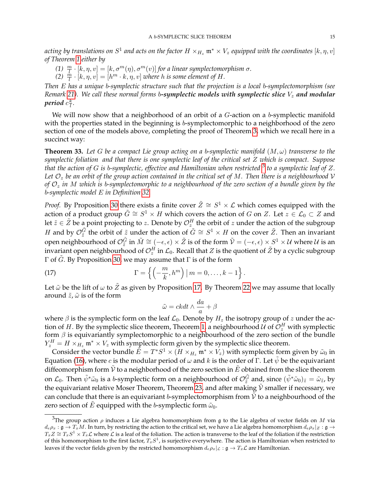acting by translations on  $S^1$  and acts on the factor  $H\times_{H_z}{\mathfrak{m}}^*\times V_z$  equipped with the coordinates  $[k,\eta,v]$ *of Theorem [1](#page-1-1) either by*

- *(1)*  $\frac{m}{l} \cdot [k, \eta, v] = [k, \sigma^m(\eta), \sigma^m(v)]$  *for a linear symplectomorphism*  $\sigma$ *.*
- (2)  $\frac{\dot{m}}{l} \cdot [k, \eta, v] = [h^m \cdot k, \eta, v]$  *where h is some element of H*.

*Then* E *has a unique* b*-symplectic structure such that the projection is a local* b*-symplectomorphism (see Remark* [21\)](#page-7-1)*.* We call these normal forms b-symplectic models with symplectic slice  $V<sub>z</sub>$  and modular period  $c\frac{k}{l}$  $\frac{\kappa}{l}$ .

We will now show that a neighborhood of an orbit of a  $G$ -action on a b-symplectic manifold with the properties stated in the beginning is b-symplectomorphic to a neighborhood of the zero section of one of the models above, completing the proof of Theorem [3,](#page-1-2) which we recall here in a succinct way:

**Theorem 33.** Let G be a compact Lie group acting on a b-symplectic manifold  $(M,\omega)$  transverse to the *symplectic foliation and that there is one symplectic leaf of the critical set* Z *which is compact. Suppose that the action of* G *is* b*-symplectic, effective and Hamiltonian when restricted* [3](#page-14-0) *to a symplectic leaf of* Z*. Let* O<sup>z</sup> *be an orbit of the group action contained in the critical set of* M*. Then there is a neighbourhood* V *of* O<sup>z</sup> *in* M *which is* b*-symplectomorphic to a neighbourhood of the zero section of a bundle given by the* b*-symplectic model* E *in Definition [32.](#page-13-0)*

*Proof.* By Proposition [30](#page-12-1) there exists a finite cover  $\tilde{Z} \cong S^1 \times \mathcal{L}$  which comes equipped with the action of a product group  $\tilde{G} \cong S^1 \times H$  which covers the action of G on Z. Let  $z \in \mathcal{L}_0 \subset Z$  and let  $\tilde{z}\in\tilde{Z}$  be a point projecting to  $z.$  Denote by  $\mathcal{O}^H_z$  the orbit of  $z$  under the action of the subgroup H and by  $\mathcal{O}_{\tilde{z}}^{\tilde{G}}$  the orbit of  $\tilde{z}$  under the action of  $\tilde{G} \cong S^1 \times H$  on the cover  $\tilde{Z}$ . Then an invariant open neighbourhood of  $\mathcal{O}_{\tilde{z}}^{\tilde{G}}$  in  $\tilde{M}\cong (-\epsilon,\epsilon)\times \tilde{Z}$  is of the form  $\tilde{\mathcal{V}}=(-\epsilon,\epsilon)\times S^1\times \mathcal{U}$  where  $\mathcal{U}$  is an invariant open neighbourhood of  $\mathcal{O}_z^H$  in  $\mathcal{L}_0.$  Recall that  $Z$  is the quotient of  $\tilde{Z}$  by a cyclic subgroup Γ of  $\tilde{G}$ . By Proposition [30,](#page-12-1) we may assume that  $\Gamma$  is of the form

(17) 
$$
\Gamma = \left\{ \left( -\frac{m}{k}, h^m \right) \mid m = 0, \ldots, k-1 \right\}.
$$

Let  $\tilde{\omega}$  be the lift of  $\omega$  to  $\tilde{Z}$  as given by Proposition [17.](#page-6-0) By Theorem [22](#page-7-3) we may assume that locally around  $\tilde{z}$ ,  $\tilde{\omega}$  is of the form

<span id="page-14-1"></span>
$$
\tilde{\omega}=ckdt\wedge\frac{da}{a}+\beta
$$

where  $\beta$  is the symplectic form on the leaf  $\mathcal{L}_0$ . Denote by  $H_z$  the isotropy group of z under the action of  $H.$  By the symplectic slice theorem, Theorem [1,](#page-1-1) a neighbourhood  $\mathcal U$  of  $\mathcal O_z^H$  with symplectic form  $\beta$  is equivariantly symplectomorphic to a neighbourhood of the zero section of the bundle  $Y_z^H = H \times_{H_z} \mathfrak{m}^* \times V_z$  with symplectic form given by the symplectic slice theorem.

Consider the vector bundle  $\tilde{E}=T^*S^1\times (H\times_{H_z}{\frak m}^*\times V_z)$  with symplectic form given by  $\tilde{\omega}_0$  in Equation [\(16\)](#page-13-1), where c is the modular period of  $\omega$  and k is the order of Γ. Let  $\tilde{\psi}$  be the equivariant diffeomorphism form  $\tilde{V}$  to a neighborhood of the zero section in  $\tilde{E}$  obtained from the slice theorem on  $\mathcal{L}_0$ . Then  $\tilde{\psi}^* \tilde{\omega}_0$  is a b-symplectic form on a neighbourhood of  $\mathcal{O}_{\tilde{z}}^{\tilde{G}}$  and, since  $(\tilde{\psi}^* \tilde{\omega}_0)_{\tilde{z}} = \tilde{\omega}_{\tilde{z}}$ , by the equivariant relative Moser Theorem, Theorem [23,](#page-8-0) and after making  $\tilde{V}$  smaller if necessary, we can conclude that there is an equivariant b-symplectomorphism from  $V$  to a neighbourhood of the zero section of E equipped with the b-symplectic form  $\tilde{\omega}_0$ .

<span id="page-14-0"></span><sup>&</sup>lt;sup>3</sup>The group action  $\rho$  induces a Lie algebra homomorphism from g to the Lie algebra of vector fields on M via  $d_e \rho_x : \mathfrak{g} \to T_x M$ . In turn, by restricting the action to the critical set, we have a Lie algebra homomorphism  $d_e \rho_x | z : \mathfrak{g} \to$  $T_x Z \cong T_x S^1 \times T_x \mathcal{L}$  where  $\mathcal L$  is a leaf of the foliation. The action is transverse to the leaf of the foliation if the restriction of this homomorphism to the first factor,  $T_xS^1$ , is surjective everywhere. The action is Hamiltonian when restricted to leaves if the vector fields given by the restricted homomorphism  $d_e \rho_x |_{\mathcal{L}} : \mathfrak{g} \to T_x \mathcal{L}$  are Hamiltonian.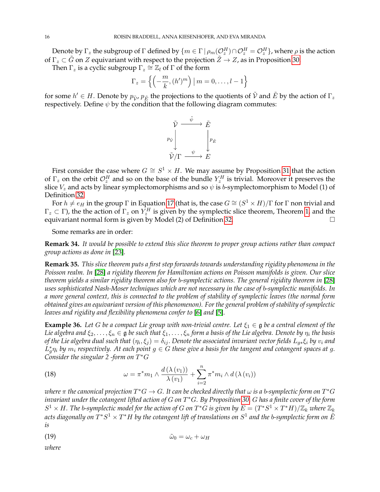Denote by  $\Gamma_z$  the subgroup of  $\Gamma$  defined by  $\{m\in\Gamma\,|\,\rho_m({\cal O}_z^H)\cap{\cal O}_z^H={\cal O}_z^H\}$ , where  $\rho$  is the action of  $\Gamma_z \subset \tilde{G}$  on Z equivariant with respect to the projection  $\tilde{Z} \to Z$ , as in Proposition [30.](#page-12-1)

Then  $\Gamma_z$  is a cyclic subgroup  $\Gamma_z \cong \mathbb{Z}_l$  of  $\Gamma$  of the form

$$
\Gamma_z = \left\{ \left( -\frac{m}{k}, (h')^m \right) \mid m = 0, \dots, l-1 \right\}
$$

for some  $h'\in H.$  Denote by  $p_{\tilde{\cal V}'}\, p_{\tilde{E}}$  the projections to the quotients of  $\tilde{\cal V}$  and  $\tilde{E}$  by the action of  $\Gamma_z$ respectively. Define  $\psi$  by the condition that the following diagram commutes:



First consider the case where  $G \cong S^1 \times H$ . We may assume by Proposition [31](#page-13-2) that the action of  $\Gamma_z$  on the orbit  $\mathcal{O}_z^H$  and so on the base of the bundle  $Y_z^H$  is trivial. Moreover it preserves the slice  $V_z$  and acts by linear symplectomorphisms and so  $\psi$  is b-symplectomorphism to Model (1) of Definition [32.](#page-13-0)

For  $h \neq e_H$  in the group  $\Gamma$  in Equation [17](#page-14-1) (that is, the case  $G \cong (S^1 \times H)/\Gamma$  for  $\Gamma$  non trivial and  $\Gamma_z \subset \Gamma$ ), the the action of  $\Gamma_z$  on  $Y_z^H$  is given by the symplectic slice theorem, Theorem [1,](#page-1-1) and the equivariant normal form is given by Model (2) of Definition [32.](#page-13-0)

Some remarks are in order:

**Remark 34.** *It would be possible to extend this slice theorem to proper group actions rather than compact group actions as done in* [\[23\]](#page-17-10)*.*

**Remark 35.** *This slice theorem puts a first step forwards towards understanding rigidity phenomena in the Poisson realm. In* [\[28\]](#page-17-20) *a rigidity theorem for Hamiltonian actions on Poisson manifolds is given. Our slice theorem yields a similar rigidity theorem also for* b*-symplectic actions. The general rigidity theorem in* [\[28\]](#page-17-20) *uses sophisticated Nash-Moser techniques which are not necessary in the case of* b*-symplectic manifolds. In a more general context, this is connected to the problem of stability of symplectic leaves (the normal form obtained gives an equivariant version of this phenomenon). For the general problem of stability of symplectic leaves and rigidity and flexibility phenomena confer to* [\[6\]](#page-16-7) *and* [\[5\]](#page-16-8)*.*

**Example 36.** Let G be a compact Lie group with non-trivial centre. Let  $\xi_1 \in \mathfrak{g}$  be a central element of the *Lie algebra and*  $\xi_2, \ldots, \xi_n \in \mathfrak{g}$  *be such that*  $\xi_1, \ldots, \xi_n$  *form a basis of the Lie algebra. Denote by*  $\eta_i$  *the basis* of the Lie algebra dual such that  $(\eta_i,\xi_j)=\delta_{ij}.$  Denote the associated invariant vector fields  $L_{g*}\xi_i$  by  $v_i$  and  $L_g^* \eta_i$  by  $m_i$  respectively. At each point  $g \in G$  these give a basis for the tangent and cotangent spaces at g. *Consider the singular 2 -form on* T <sup>∗</sup>G

(18) 
$$
\omega = \pi^* m_1 \wedge \frac{d(\lambda(v_1))}{\lambda(v_1)} + \sum_{i=2}^n \pi^* m_i \wedge d(\lambda(v_i))
$$

 $\omega$ here  $\pi$  the canonical projection  $T^*G \to G$ . It can be checked directly that  $\omega$  is a b-symplectic form on  $T^*G$ *invariant under the cotangent lifted action of* G *on* T <sup>∗</sup>G*. By Proposition [30,](#page-12-1)* G *has a finite cover of the form*  $S^1\times H.$  The b-symplectic model for the action of  $G$  on  $T^*G$  is given by  $\tilde E=(T^*S^1\times T^*H)/\mathbb{Z}_k$  where  $\mathbb{Z}_k$ acts diagonally on  $T^*S^1 \times T^*H$  by the cotangent lift of translations on  $S^1$  and the b-symplectic form on  $\tilde E$ *is*

$$
\tilde{\omega}_0 = \omega_c + \omega_H
$$

*where*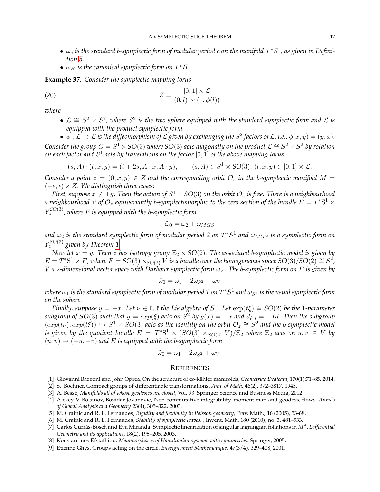- $\bullet$   $\omega_c$  is the standard b-symplectic form of modular period  $c$  on the manifold  $T^*S^1$ , as given in Defini*tion [5.](#page-5-0)*
- $\omega_H$  is the canonical symplectic form on  $T^*H$ .

**Example 37.** *Consider the symplectic mapping torus*

$$
(20) \t\t Z = \frac{[0,1] \times \mathcal{L}}{(0,l) \sim (1,\phi(l))}
$$

*where*

•  $\mathcal{L} \cong S^2 \times S^2$ , where  $S^2$  is the two sphere equipped with the standard symplectic form and  $\mathcal{L}$  is *equipped with the product symplectic form.*

 $\bullet \phi : \mathcal{L} \to \mathcal{L}$  is the diffeomorphism of  $\mathcal{L}$  given by exchanging the  $S^2$  factors of  $\mathcal{L}$ , i.e.,  $\phi(x, y) = (y, x)$ . *Consider the group*  $G = S^1 \times SO(3)$  *where*  $SO(3)$  *acts diagonally on the product*  $\mathcal{L} \cong S^2 \times S^2$  *by rotation* on each factor and  $S^1$  acts by translations on the factor  $[0,1]$  of the above mapping torus:

$$
(s, A) \cdot (t, x, y) = (t + 2s, A \cdot x, A \cdot y), \qquad (s, A) \in S^1 \times SO(3), \ (t, x, y) \in [0, 1] \times \mathcal{L}.
$$

*Consider a point*  $z = (0, x, y) \in Z$  *and the corresponding orbit*  $\mathcal{O}_z$  *in the b-symplectic manifold*  $M =$ (−, ) × Z*. We distinguish three cases:*

*First, suppose*  $x \neq \pm y$ *. Then the action of*  $S^1 \times SO(3)$  *on the orbit*  $\mathcal{O}_z$  *is free. There is a neighbourhood* a neighbourhood V of  $\mathcal{O}_z$  equivariantly b-symplectomorphic to the zero section of the bundle  $E=T^*\mathrm{S}^1\times$ Y *SO*(3) <sup>z</sup> *, where* E *is equipped with the* b*-symplectic form*

$$
\tilde{\omega}_0 = \omega_2 + \omega_{MGS}
$$

and  $\omega_2$  is the standard symplectic form of modular period 2 on  $T^*S^1$  and  $\omega_{MGS}$  is a symplectic form on Y *SO*(3) z *given by Theorem [1.](#page-1-1)*

*Now let*  $x = y$ *. Then* z has isotropy group  $\mathbb{Z}_2 \times SO(2)$ *. The associated b-symplectic model is given by*  $E = T^*S^1 \times F$ , where  $F = SO(3) \times_{SO(2)} V$  is a bundle over the homogeneous space  $SO(3)/SO(2) \cong S^2$ ,  $V$  *a* 2-dimensional vector space with Darboux symplectic form  $\omega_V$ . The b-symplectic form on E is given by

$$
\tilde{\omega}_0 = \omega_1 + 2\omega_{S^2} + \omega_V
$$

 $v$  where  $\omega_1$  is the standard symplectic form of modular period 1 on  $T^*S^1$  and  $\omega_{S^2}$  is the usual symplectic form *on the sphere.*

*Finally, suppose*  $y = -x$ *. Let*  $\nu \in \mathfrak{k}$ ,  $\mathfrak{k}$  the Lie algebra of  $S^1$ . Let  $\exp(t\xi) \cong SO(2)$  be the 1-parameter  $subgroup$  of  $SO(3)$  such that  $g = exp(\xi)$  acts on  $S^2$  by  $g(x) = -x$  and  $d\rho_g = -Id$ . Then the subgroup  $(exp(tv), exp(t\xi)) \hookrightarrow S^1 \times SO(3)$  acts as the identity on the orbit  $\mathcal{O}_z \cong \mathring{S}^2$  and the b-symplectic model *is given by the quotient bundle*  $E = T^*S^1 \times (SO(3) \times_{SO(2)} V)/\mathbb{Z}_2$  *where*  $\mathbb{Z}_2$  *acts on*  $u, v \in V$  *by*  $(u, v) \rightarrow (-u, -v)$  and E is equipped with the *b*-symplectic form

$$
\tilde{\omega}_0 = \omega_1 + 2\omega_{S^2} + \omega_V.
$$

### **REFERENCES**

- <span id="page-16-3"></span>[1] Giovanni Bazzoni and John Oprea, On the structure of co-kähler manifolds, Geometriae Dedicata, 170(1):71-85, 2014.
- <span id="page-16-0"></span>[2] S. Bochner, Compact groups of differentiable transformations, *Ann. of Math.* 46(2), 372–3817, 1945.
- <span id="page-16-2"></span>[3] A. Besse, *Manifolds all of whose geodesics are closed*, Vol. 93. Springer Science and Business Media, 2012.
- <span id="page-16-1"></span>[4] Alexey V. Bolsinov, Bozidar Jovanovic, Non-commutative integrability, moment map and geodesic flows, *Annals of Global Analysis and Geometry* 23(4), 305–322, 2003.
- <span id="page-16-8"></span>[5] M. Crainic and R. L. Fernandes, *Rigidity and flexibility in Poisson geometry*, Trav. Math., 16 (2005), 53-68.
- <span id="page-16-7"></span>[6] M. Crainic and R. L. Fernandes, *Stability of symplectic leaves.* , Invent. Math. 180 (2010), no. 3, 481–533.
- <span id="page-16-4"></span>[7] Carlos Currás-Bosch and Eva Miranda. Symplectic linearization of singular lagrangian foliations in M<sup>4</sup>. Differential *Geometry and its applications*, 18(2), 195–205, 2003.
- <span id="page-16-5"></span>[8] Konstantinos Efstathiou. *Metamorphoses of Hamiltonian systems with symmetries*. Springer, 2005.
- <span id="page-16-6"></span>[9] Étienne Ghys. Groups acting on the circle. *Enseignement Mathematique*, 47(3/4), 329–408, 2001.